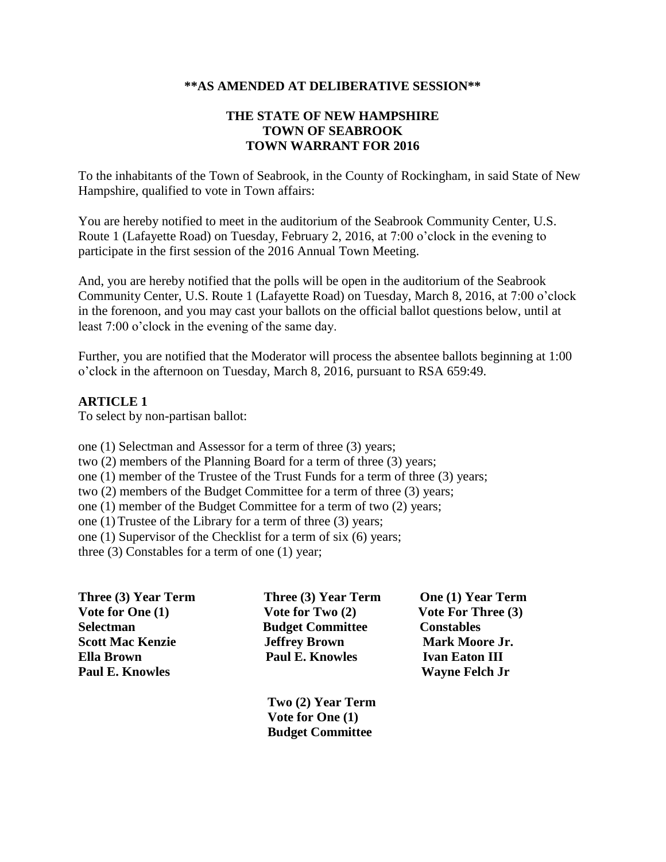#### **\*\*AS AMENDED AT DELIBERATIVE SESSION\*\***

#### **THE STATE OF NEW HAMPSHIRE TOWN OF SEABROOK TOWN WARRANT FOR 2016**

To the inhabitants of the Town of Seabrook, in the County of Rockingham, in said State of New Hampshire, qualified to vote in Town affairs:

You are hereby notified to meet in the auditorium of the Seabrook Community Center, U.S. Route 1 (Lafayette Road) on Tuesday, February 2, 2016, at 7:00 o'clock in the evening to participate in the first session of the 2016 Annual Town Meeting.

And, you are hereby notified that the polls will be open in the auditorium of the Seabrook Community Center, U.S. Route 1 (Lafayette Road) on Tuesday, March 8, 2016, at 7:00 o'clock in the forenoon, and you may cast your ballots on the official ballot questions below, until at least 7:00 o'clock in the evening of the same day.

Further, you are notified that the Moderator will process the absentee ballots beginning at 1:00 o'clock in the afternoon on Tuesday, March 8, 2016, pursuant to RSA 659:49.

#### **ARTICLE 1**

To select by non-partisan ballot:

one (1) Selectman and Assessor for a term of three (3) years; two (2) members of the Planning Board for a term of three (3) years; one (1) member of the Trustee of the Trust Funds for a term of three (3) years; two (2) members of the Budget Committee for a term of three (3) years; one (1) member of the Budget Committee for a term of two (2) years; one (1)Trustee of the Library for a term of three (3) years; one (1) Supervisor of the Checklist for a term of six (6) years; three (3) Constables for a term of one (1) year;

| Three (3) Year Term     | Three (3) Year Term     | One (1) Year Term         |
|-------------------------|-------------------------|---------------------------|
| Vote for One (1)        | Vote for Two $(2)$      | <b>Vote For Three (3)</b> |
| <b>Selectman</b>        | <b>Budget Committee</b> | <b>Constables</b>         |
| <b>Scott Mac Kenzie</b> | <b>Jeffrey Brown</b>    | <b>Mark Moore Jr.</b>     |
| <b>Ella Brown</b>       | <b>Paul E. Knowles</b>  | <b>Ivan Eaton III</b>     |
| <b>Paul E. Knowles</b>  |                         | <b>Wayne Felch Jr</b>     |

 **Two (2) Year Term Vote for One (1) Budget Committee**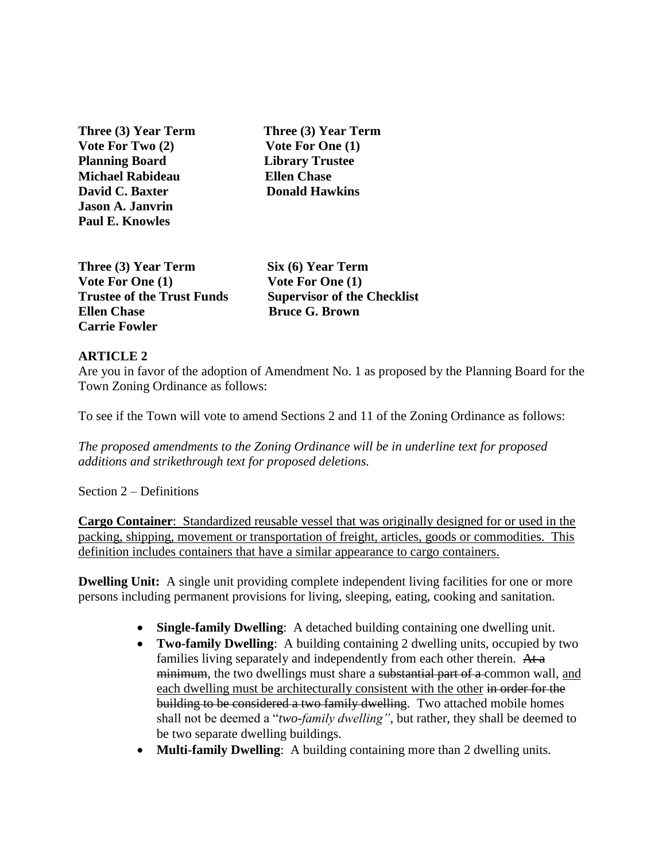**Three (3) Year Term Three (3) Year Term** Vote For Two (2) Vote For One (1) **Planning Board Library Trustee Michael Rabideau Ellen Chase David C. Baxter**  Donald Hawkins **Jason A. Janvrin Paul E. Knowles** 

Three (3) Year Term Six (6) Year Term Vote For One (1) Vote For One (1) **Ellen Chase Bruce G. Brown Carrie Fowler**

**Trustee of the Trust Funds Supervisor of the Checklist**

## **ARTICLE 2**

Are you in favor of the adoption of Amendment No. 1 as proposed by the Planning Board for the Town Zoning Ordinance as follows:

To see if the Town will vote to amend Sections 2 and 11 of the Zoning Ordinance as follows:

*The proposed amendments to the Zoning Ordinance will be in underline text for proposed additions and strikethrough text for proposed deletions.*

Section 2 – Definitions

**Cargo Container**: Standardized reusable vessel that was originally designed for or used in the packing, shipping, movement or transportation of freight, articles, goods or commodities. This definition includes containers that have a similar appearance to cargo containers.

**Dwelling Unit:** A single unit providing complete independent living facilities for one or more persons including permanent provisions for living, sleeping, eating, cooking and sanitation.

- **Single-family Dwelling**: A detached building containing one dwelling unit.
- **Two-family Dwelling**: A building containing 2 dwelling units, occupied by two families living separately and independently from each other therein. At a minimum, the two dwellings must share a substantial part of a common wall, and each dwelling must be architecturally consistent with the other in order for the building to be considered a two family dwelling. Two attached mobile homes shall not be deemed a "*two-family dwelling"*, but rather, they shall be deemed to be two separate dwelling buildings.
- **Multi-family Dwelling**: A building containing more than 2 dwelling units.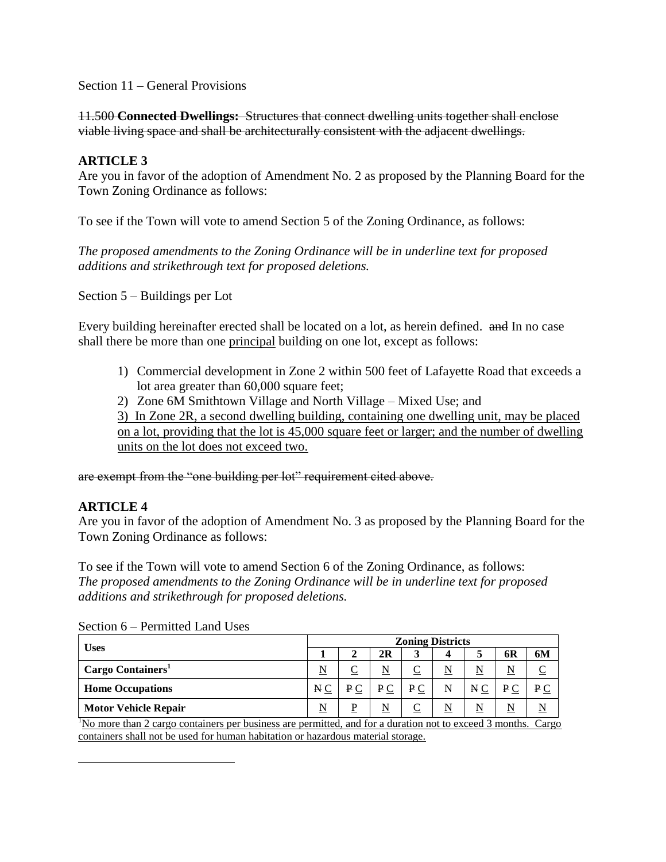Section 11 – General Provisions

11.500 **Connected Dwellings:** Structures that connect dwelling units together shall enclose viable living space and shall be architecturally consistent with the adjacent dwellings.

### **ARTICLE 3**

Are you in favor of the adoption of Amendment No. 2 as proposed by the Planning Board for the Town Zoning Ordinance as follows:

To see if the Town will vote to amend Section 5 of the Zoning Ordinance, as follows:

*The proposed amendments to the Zoning Ordinance will be in underline text for proposed additions and strikethrough text for proposed deletions.*

Section 5 – Buildings per Lot

Every building hereinafter erected shall be located on a lot, as herein defined. and In no case shall there be more than one principal building on one lot, except as follows:

- 1) Commercial development in Zone 2 within 500 feet of Lafayette Road that exceeds a lot area greater than 60,000 square feet;
- 2) Zone 6M Smithtown Village and North Village Mixed Use; and

3) In Zone 2R, a second dwelling building, containing one dwelling unit, may be placed on a lot, providing that the lot is 45,000 square feet or larger; and the number of dwelling units on the lot does not exceed two.

are exempt from the "one building per lot" requirement cited above.

# **ARTICLE 4**

 $\overline{a}$ 

Are you in favor of the adoption of Amendment No. 3 as proposed by the Planning Board for the Town Zoning Ordinance as follows:

To see if the Town will vote to amend Section 6 of the Zoning Ordinance, as follows: *The proposed amendments to the Zoning Ordinance will be in underline text for proposed additions and strikethrough for proposed deletions.*

| <b>Uses</b>                   | <b>Zoning Districts</b> |         |             |     |   |     |         |     |  |
|-------------------------------|-------------------------|---------|-------------|-----|---|-----|---------|-----|--|
|                               |                         |         | 2R          | 3   |   | C   | 6R      | 6M  |  |
| Cargo Containers <sup>1</sup> |                         |         | N           |     |   | N   |         |     |  |
| <b>Home Occupations</b>       | NC                      | $P_{C}$ | $P_{\rm C}$ | P C | N | N C | $P_{C}$ | P C |  |
| <b>Motor Vehicle Repair</b>   |                         | D       | N           |     |   | N   |         |     |  |

Section 6 – Permitted Land Uses

<sup>1</sup>No more than 2 cargo containers per business are permitted, and for a duration not to exceed 3 months. Cargo containers shall not be used for human habitation or hazardous material storage.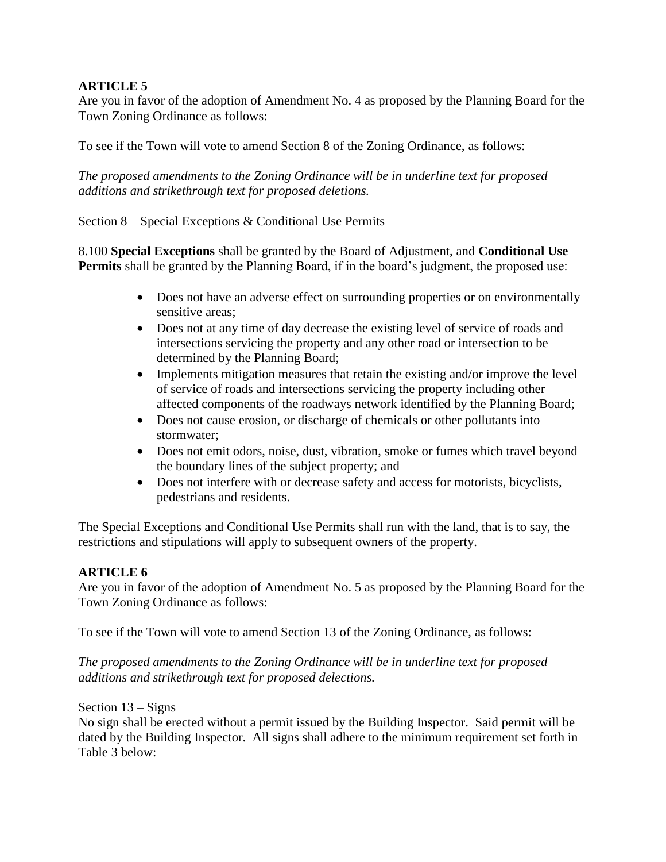Are you in favor of the adoption of Amendment No. 4 as proposed by the Planning Board for the Town Zoning Ordinance as follows:

To see if the Town will vote to amend Section 8 of the Zoning Ordinance, as follows:

*The proposed amendments to the Zoning Ordinance will be in underline text for proposed additions and strikethrough text for proposed deletions.*

Section 8 – Special Exceptions & Conditional Use Permits

8.100 **Special Exceptions** shall be granted by the Board of Adjustment, and **Conditional Use Permits** shall be granted by the Planning Board, if in the board's judgment, the proposed use:

- Does not have an adverse effect on surrounding properties or on environmentally sensitive areas;
- Does not at any time of day decrease the existing level of service of roads and intersections servicing the property and any other road or intersection to be determined by the Planning Board;
- Implements mitigation measures that retain the existing and/or improve the level of service of roads and intersections servicing the property including other affected components of the roadways network identified by the Planning Board;
- Does not cause erosion, or discharge of chemicals or other pollutants into stormwater;
- Does not emit odors, noise, dust, vibration, smoke or fumes which travel beyond the boundary lines of the subject property; and
- Does not interfere with or decrease safety and access for motorists, bicyclists, pedestrians and residents.

The Special Exceptions and Conditional Use Permits shall run with the land, that is to say, the restrictions and stipulations will apply to subsequent owners of the property.

# **ARTICLE 6**

Are you in favor of the adoption of Amendment No. 5 as proposed by the Planning Board for the Town Zoning Ordinance as follows:

To see if the Town will vote to amend Section 13 of the Zoning Ordinance, as follows:

*The proposed amendments to the Zoning Ordinance will be in underline text for proposed additions and strikethrough text for proposed delections.*

Section 13 – Signs

No sign shall be erected without a permit issued by the Building Inspector. Said permit will be dated by the Building Inspector. All signs shall adhere to the minimum requirement set forth in Table 3 below: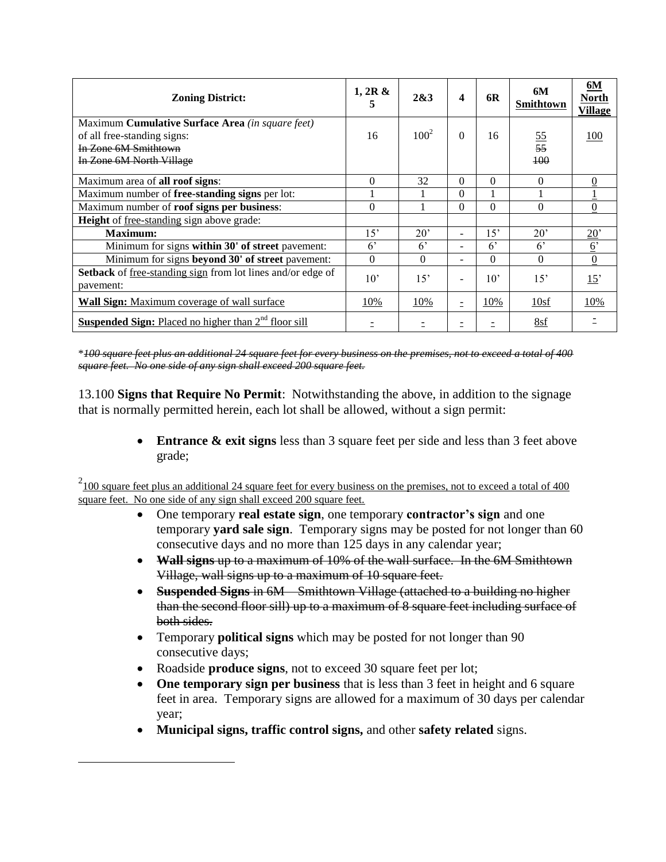| <b>Zoning District:</b>                                                                                                                    | 1, 2R &<br>5   | 2&3          | 4                        | 6R           | 6M<br>Smithtown        | 6M<br><b>North</b><br><b>Village</b> |
|--------------------------------------------------------------------------------------------------------------------------------------------|----------------|--------------|--------------------------|--------------|------------------------|--------------------------------------|
| Maximum <b>Cumulative Surface Area</b> (in square feet)<br>of all free-standing signs:<br>In Zone 6M Smithtown<br>In Zone 6M North Village | 16             | $100^2$      | $\Omega$                 | 16           | $\frac{55}{55}$<br>100 | 100                                  |
| Maximum area of <b>all roof signs</b> :                                                                                                    | 0              | 32           | $\Omega$                 | $\Omega$     | $\Omega$               | $\Omega$                             |
| Maximum number of <b>free-standing signs</b> per lot:                                                                                      |                |              | $\Omega$                 |              |                        |                                      |
| Maximum number of roof signs per business:                                                                                                 | 0              |              | $\Omega$                 | $\Omega$     | $\Omega$               | $\overline{0}$                       |
| <b>Height</b> of free-standing sign above grade:                                                                                           |                |              |                          |              |                        |                                      |
| Maximum:                                                                                                                                   | 15'            | $20^{\circ}$ | $\overline{\phantom{a}}$ | 15'          | $20^{\circ}$           | $\underline{20}$                     |
| Minimum for signs within 30' of street pavement:                                                                                           | 6 <sup>2</sup> | $6^{\circ}$  | $\overline{\phantom{a}}$ | $6^{\circ}$  | $6^{\circ}$            | $6^{\circ}$                          |
| Minimum for signs beyond 30' of street pavement:                                                                                           | $\Omega$       | $\Omega$     | $\overline{\phantom{a}}$ | $\Omega$     | $\Omega$               | $\overline{0}$                       |
| Setback of free-standing sign from lot lines and/or edge of<br>pavement:                                                                   | $10^{\circ}$   | 15'          | $\overline{\phantom{a}}$ | $10^{\circ}$ | 15'                    | 15'                                  |
| <b>Wall Sign:</b> Maximum coverage of wall surface                                                                                         | 10%            | 10%          | $\equiv$                 | 10%          | 10sf                   | 10%                                  |
| <b>Suspended Sign:</b> Placed no higher than 2 <sup>nd</sup> floor sill                                                                    |                |              |                          |              | 8sf                    |                                      |

\**100 square feet plus an additional 24 square feet for every business on the premises, not to exceed a total of 400 square feet. No one side of any sign shall exceed 200 square feet.*

13.100 **Signs that Require No Permit**: Notwithstanding the above, in addition to the signage that is normally permitted herein, each lot shall be allowed, without a sign permit:

> **Entrance & exit signs** less than 3 square feet per side and less than 3 feet above grade;

 $2_{100}$  square feet plus an additional 24 square feet for every business on the premises, not to exceed a total of 400 square feet. No one side of any sign shall exceed 200 square feet.

- One temporary **real estate sign**, one temporary **contractor's sign** and one temporary **yard sale sign**. Temporary signs may be posted for not longer than 60 consecutive days and no more than 125 days in any calendar year;
- **Wall signs** up to a maximum of 10% of the wall surface. In the 6M Smithtown Village, wall signs up to a maximum of 10 square feet.
- **Suspended Signs** in 6M Smithtown Village (attached to a building no higher than the second floor sill) up to a maximum of 8 square feet including surface of both sides.
- Temporary **political signs** which may be posted for not longer than 90 consecutive days;
- Roadside **produce signs**, not to exceed 30 square feet per lot;

 $\overline{a}$ 

- One temporary sign per business that is less than 3 feet in height and 6 square feet in area. Temporary signs are allowed for a maximum of 30 days per calendar year;
- **Municipal signs, traffic control signs,** and other **safety related** signs.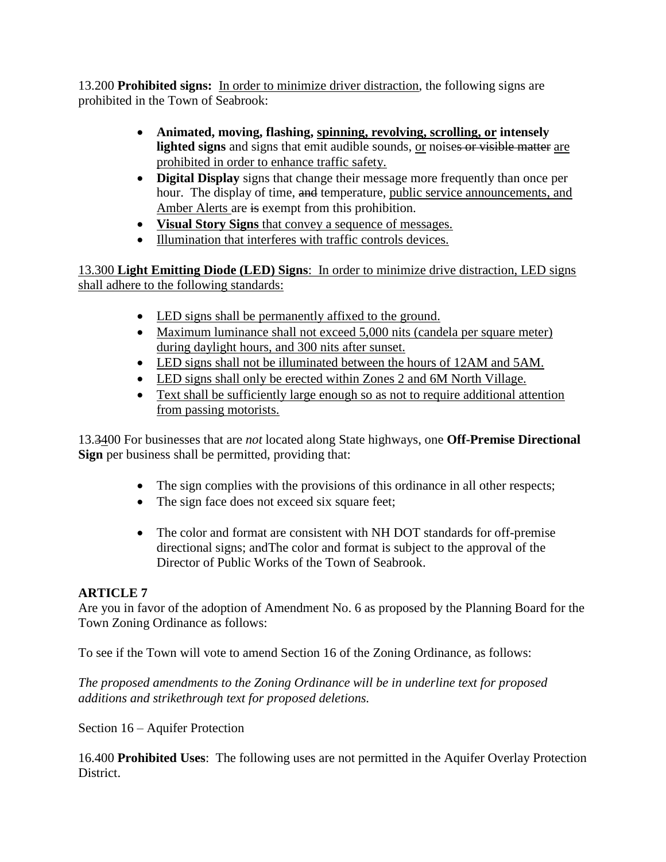13.200 **Prohibited signs:** In order to minimize driver distraction, the following signs are prohibited in the Town of Seabrook:

- **Animated, moving, flashing, spinning, revolving, scrolling, or intensely**  lighted signs and signs that emit audible sounds, or noises or visible matter are prohibited in order to enhance traffic safety.
- **Digital Display** signs that change their message more frequently than once per hour. The display of time, and temperature, public service announcements, and Amber Alerts are is exempt from this prohibition.
- **Visual Story Signs** that convey a sequence of messages.
- Illumination that interferes with traffic controls devices.

13.300 **Light Emitting Diode (LED) Signs**: In order to minimize drive distraction, LED signs shall adhere to the following standards:

- LED signs shall be permanently affixed to the ground.
- Maximum luminance shall not exceed 5,000 nits (candela per square meter) during daylight hours, and 300 nits after sunset.
- LED signs shall not be illuminated between the hours of 12AM and 5AM.
- LED signs shall only be erected within Zones 2 and 6M North Village.
- Text shall be sufficiently large enough so as not to require additional attention from passing motorists.

13.3400 For businesses that are *not* located along State highways, one **Off-Premise Directional Sign** per business shall be permitted, providing that:

- The sign complies with the provisions of this ordinance in all other respects;
- The sign face does not exceed six square feet;
- The color and format are consistent with NH DOT standards for off-premise directional signs; andThe color and format is subject to the approval of the Director of Public Works of the Town of Seabrook.

# **ARTICLE 7**

Are you in favor of the adoption of Amendment No. 6 as proposed by the Planning Board for the Town Zoning Ordinance as follows:

To see if the Town will vote to amend Section 16 of the Zoning Ordinance, as follows:

*The proposed amendments to the Zoning Ordinance will be in underline text for proposed additions and strikethrough text for proposed deletions.*

Section 16 – Aquifer Protection

16.400 **Prohibited Uses**: The following uses are not permitted in the Aquifer Overlay Protection District.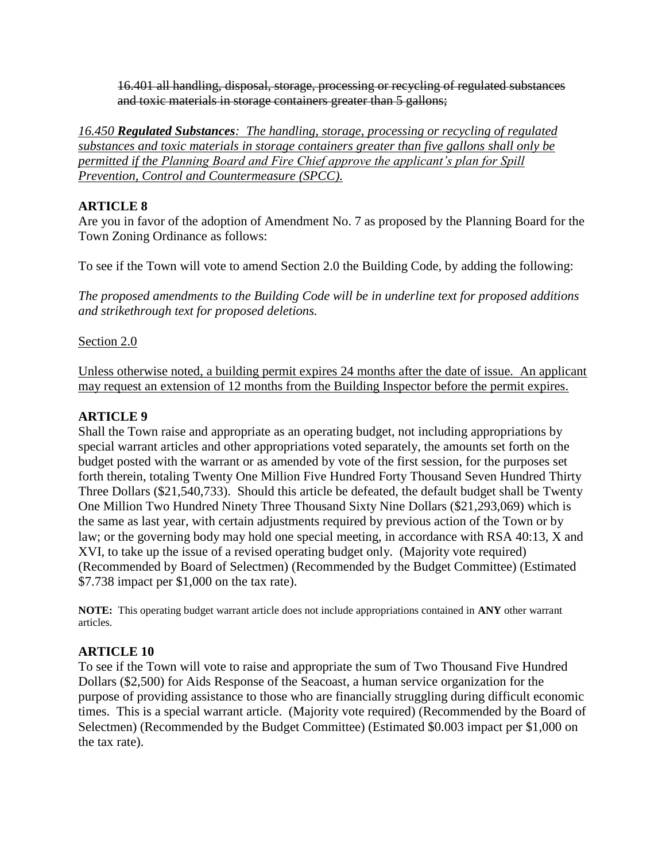16.401 all handling, disposal, storage, processing or recycling of regulated substances and toxic materials in storage containers greater than 5 gallons;

*16.450 Regulated Substances: The handling, storage, processing or recycling of regulated substances and toxic materials in storage containers greater than five gallons shall only be permitted if the Planning Board and Fire Chief approve the applicant's plan for Spill Prevention, Control and Countermeasure (SPCC).*

# **ARTICLE 8**

Are you in favor of the adoption of Amendment No. 7 as proposed by the Planning Board for the Town Zoning Ordinance as follows:

To see if the Town will vote to amend Section 2.0 the Building Code, by adding the following:

*The proposed amendments to the Building Code will be in underline text for proposed additions and strikethrough text for proposed deletions.*

# Section 2.0

Unless otherwise noted, a building permit expires 24 months after the date of issue. An applicant may request an extension of 12 months from the Building Inspector before the permit expires.

# **ARTICLE 9**

Shall the Town raise and appropriate as an operating budget, not including appropriations by special warrant articles and other appropriations voted separately, the amounts set forth on the budget posted with the warrant or as amended by vote of the first session, for the purposes set forth therein, totaling Twenty One Million Five Hundred Forty Thousand Seven Hundred Thirty Three Dollars (\$21,540,733). Should this article be defeated, the default budget shall be Twenty One Million Two Hundred Ninety Three Thousand Sixty Nine Dollars (\$21,293,069) which is the same as last year, with certain adjustments required by previous action of the Town or by law; or the governing body may hold one special meeting, in accordance with RSA 40:13, X and XVI, to take up the issue of a revised operating budget only. (Majority vote required) (Recommended by Board of Selectmen) (Recommended by the Budget Committee) (Estimated \$7.738 impact per \$1,000 on the tax rate).

**NOTE:** This operating budget warrant article does not include appropriations contained in **ANY** other warrant articles.

# **ARTICLE 10**

To see if the Town will vote to raise and appropriate the sum of Two Thousand Five Hundred Dollars (\$2,500) for Aids Response of the Seacoast, a human service organization for the purpose of providing assistance to those who are financially struggling during difficult economic times. This is a special warrant article. (Majority vote required) (Recommended by the Board of Selectmen) (Recommended by the Budget Committee) (Estimated \$0.003 impact per \$1,000 on the tax rate).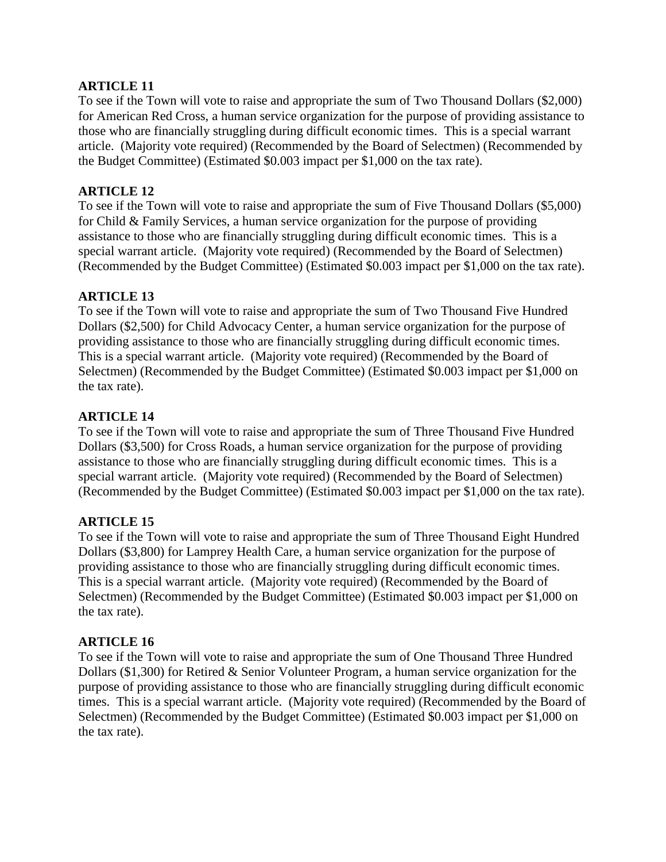To see if the Town will vote to raise and appropriate the sum of Two Thousand Dollars (\$2,000) for American Red Cross, a human service organization for the purpose of providing assistance to those who are financially struggling during difficult economic times. This is a special warrant article. (Majority vote required) (Recommended by the Board of Selectmen) (Recommended by the Budget Committee) (Estimated \$0.003 impact per \$1,000 on the tax rate).

# **ARTICLE 12**

To see if the Town will vote to raise and appropriate the sum of Five Thousand Dollars (\$5,000) for Child & Family Services, a human service organization for the purpose of providing assistance to those who are financially struggling during difficult economic times. This is a special warrant article. (Majority vote required) (Recommended by the Board of Selectmen) (Recommended by the Budget Committee) (Estimated \$0.003 impact per \$1,000 on the tax rate).

# **ARTICLE 13**

To see if the Town will vote to raise and appropriate the sum of Two Thousand Five Hundred Dollars (\$2,500) for Child Advocacy Center, a human service organization for the purpose of providing assistance to those who are financially struggling during difficult economic times. This is a special warrant article. (Majority vote required) (Recommended by the Board of Selectmen) (Recommended by the Budget Committee) (Estimated \$0.003 impact per \$1,000 on the tax rate).

# **ARTICLE 14**

To see if the Town will vote to raise and appropriate the sum of Three Thousand Five Hundred Dollars (\$3,500) for Cross Roads, a human service organization for the purpose of providing assistance to those who are financially struggling during difficult economic times. This is a special warrant article. (Majority vote required) (Recommended by the Board of Selectmen) (Recommended by the Budget Committee) (Estimated \$0.003 impact per \$1,000 on the tax rate).

# **ARTICLE 15**

To see if the Town will vote to raise and appropriate the sum of Three Thousand Eight Hundred Dollars (\$3,800) for Lamprey Health Care, a human service organization for the purpose of providing assistance to those who are financially struggling during difficult economic times. This is a special warrant article. (Majority vote required) (Recommended by the Board of Selectmen) (Recommended by the Budget Committee) (Estimated \$0.003 impact per \$1,000 on the tax rate).

#### **ARTICLE 16**

To see if the Town will vote to raise and appropriate the sum of One Thousand Three Hundred Dollars (\$1,300) for Retired & Senior Volunteer Program, a human service organization for the purpose of providing assistance to those who are financially struggling during difficult economic times. This is a special warrant article. (Majority vote required) (Recommended by the Board of Selectmen) (Recommended by the Budget Committee) (Estimated \$0.003 impact per \$1,000 on the tax rate).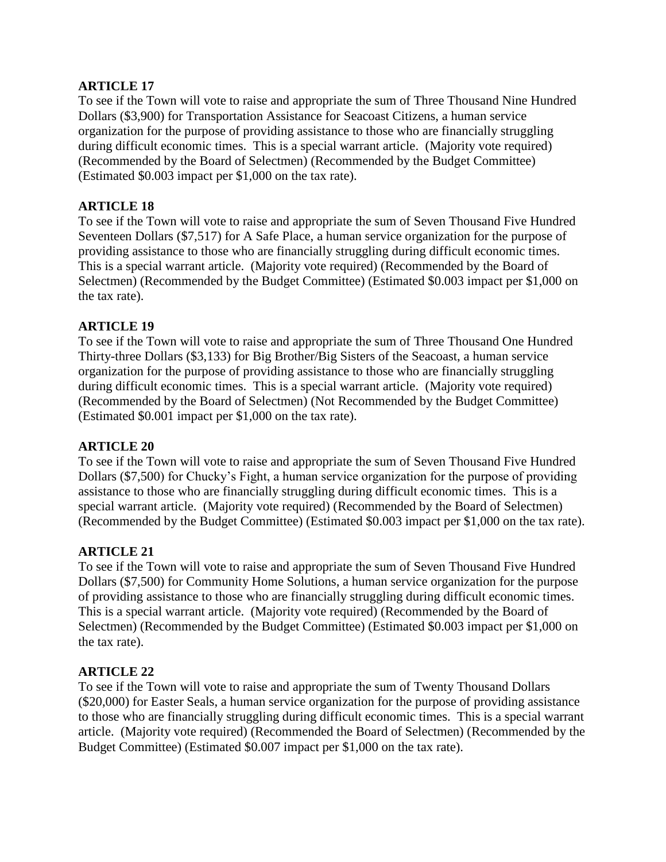To see if the Town will vote to raise and appropriate the sum of Three Thousand Nine Hundred Dollars (\$3,900) for Transportation Assistance for Seacoast Citizens, a human service organization for the purpose of providing assistance to those who are financially struggling during difficult economic times. This is a special warrant article. (Majority vote required) (Recommended by the Board of Selectmen) (Recommended by the Budget Committee) (Estimated \$0.003 impact per \$1,000 on the tax rate).

## **ARTICLE 18**

To see if the Town will vote to raise and appropriate the sum of Seven Thousand Five Hundred Seventeen Dollars (\$7,517) for A Safe Place, a human service organization for the purpose of providing assistance to those who are financially struggling during difficult economic times. This is a special warrant article. (Majority vote required) (Recommended by the Board of Selectmen) (Recommended by the Budget Committee) (Estimated \$0.003 impact per \$1,000 on the tax rate).

## **ARTICLE 19**

To see if the Town will vote to raise and appropriate the sum of Three Thousand One Hundred Thirty-three Dollars (\$3,133) for Big Brother/Big Sisters of the Seacoast, a human service organization for the purpose of providing assistance to those who are financially struggling during difficult economic times. This is a special warrant article. (Majority vote required) (Recommended by the Board of Selectmen) (Not Recommended by the Budget Committee) (Estimated \$0.001 impact per \$1,000 on the tax rate).

#### **ARTICLE 20**

To see if the Town will vote to raise and appropriate the sum of Seven Thousand Five Hundred Dollars (\$7,500) for Chucky's Fight, a human service organization for the purpose of providing assistance to those who are financially struggling during difficult economic times. This is a special warrant article. (Majority vote required) (Recommended by the Board of Selectmen) (Recommended by the Budget Committee) (Estimated \$0.003 impact per \$1,000 on the tax rate).

# **ARTICLE 21**

To see if the Town will vote to raise and appropriate the sum of Seven Thousand Five Hundred Dollars (\$7,500) for Community Home Solutions, a human service organization for the purpose of providing assistance to those who are financially struggling during difficult economic times. This is a special warrant article. (Majority vote required) (Recommended by the Board of Selectmen) (Recommended by the Budget Committee) (Estimated \$0.003 impact per \$1,000 on the tax rate).

#### **ARTICLE 22**

To see if the Town will vote to raise and appropriate the sum of Twenty Thousand Dollars (\$20,000) for Easter Seals, a human service organization for the purpose of providing assistance to those who are financially struggling during difficult economic times. This is a special warrant article. (Majority vote required) (Recommended the Board of Selectmen) (Recommended by the Budget Committee) (Estimated \$0.007 impact per \$1,000 on the tax rate).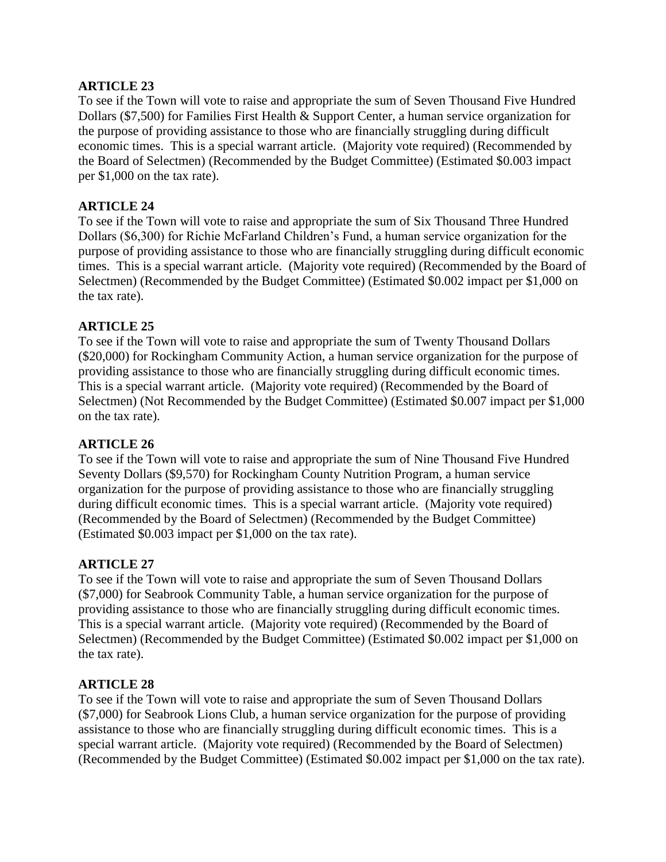To see if the Town will vote to raise and appropriate the sum of Seven Thousand Five Hundred Dollars (\$7,500) for Families First Health & Support Center, a human service organization for the purpose of providing assistance to those who are financially struggling during difficult economic times. This is a special warrant article. (Majority vote required) (Recommended by the Board of Selectmen) (Recommended by the Budget Committee) (Estimated \$0.003 impact per \$1,000 on the tax rate).

## **ARTICLE 24**

To see if the Town will vote to raise and appropriate the sum of Six Thousand Three Hundred Dollars (\$6,300) for Richie McFarland Children's Fund, a human service organization for the purpose of providing assistance to those who are financially struggling during difficult economic times. This is a special warrant article. (Majority vote required) (Recommended by the Board of Selectmen) (Recommended by the Budget Committee) (Estimated \$0.002 impact per \$1,000 on the tax rate).

## **ARTICLE 25**

To see if the Town will vote to raise and appropriate the sum of Twenty Thousand Dollars (\$20,000) for Rockingham Community Action, a human service organization for the purpose of providing assistance to those who are financially struggling during difficult economic times. This is a special warrant article. (Majority vote required) (Recommended by the Board of Selectmen) (Not Recommended by the Budget Committee) (Estimated \$0.007 impact per \$1,000 on the tax rate).

#### **ARTICLE 26**

To see if the Town will vote to raise and appropriate the sum of Nine Thousand Five Hundred Seventy Dollars (\$9,570) for Rockingham County Nutrition Program, a human service organization for the purpose of providing assistance to those who are financially struggling during difficult economic times. This is a special warrant article. (Majority vote required) (Recommended by the Board of Selectmen) (Recommended by the Budget Committee) (Estimated \$0.003 impact per \$1,000 on the tax rate).

#### **ARTICLE 27**

To see if the Town will vote to raise and appropriate the sum of Seven Thousand Dollars (\$7,000) for Seabrook Community Table, a human service organization for the purpose of providing assistance to those who are financially struggling during difficult economic times. This is a special warrant article. (Majority vote required) (Recommended by the Board of Selectmen) (Recommended by the Budget Committee) (Estimated \$0.002 impact per \$1,000 on the tax rate).

#### **ARTICLE 28**

To see if the Town will vote to raise and appropriate the sum of Seven Thousand Dollars (\$7,000) for Seabrook Lions Club, a human service organization for the purpose of providing assistance to those who are financially struggling during difficult economic times. This is a special warrant article. (Majority vote required) (Recommended by the Board of Selectmen) (Recommended by the Budget Committee) (Estimated \$0.002 impact per \$1,000 on the tax rate).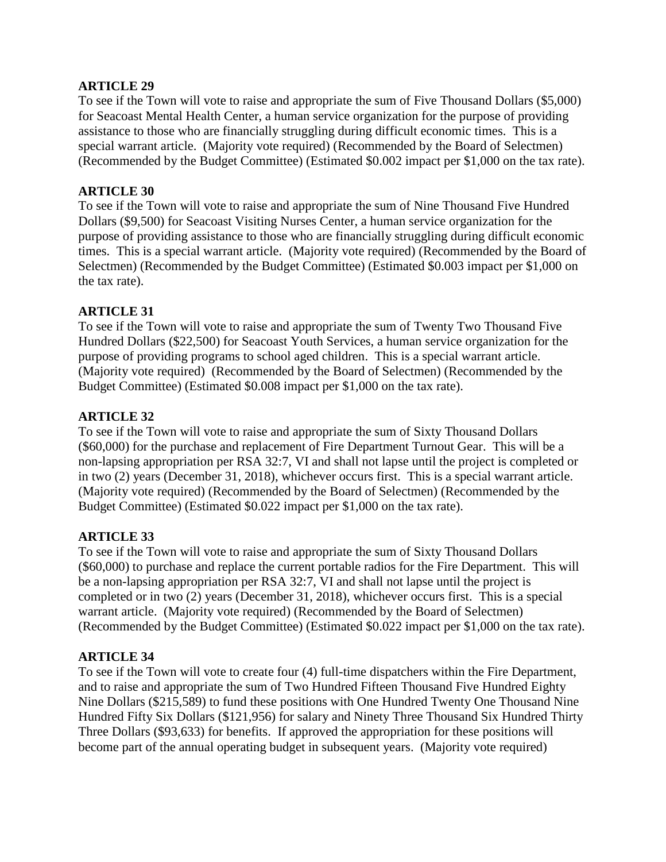To see if the Town will vote to raise and appropriate the sum of Five Thousand Dollars (\$5,000) for Seacoast Mental Health Center, a human service organization for the purpose of providing assistance to those who are financially struggling during difficult economic times. This is a special warrant article. (Majority vote required) (Recommended by the Board of Selectmen) (Recommended by the Budget Committee) (Estimated \$0.002 impact per \$1,000 on the tax rate).

## **ARTICLE 30**

To see if the Town will vote to raise and appropriate the sum of Nine Thousand Five Hundred Dollars (\$9,500) for Seacoast Visiting Nurses Center, a human service organization for the purpose of providing assistance to those who are financially struggling during difficult economic times. This is a special warrant article. (Majority vote required) (Recommended by the Board of Selectmen) (Recommended by the Budget Committee) (Estimated \$0.003 impact per \$1,000 on the tax rate).

## **ARTICLE 31**

To see if the Town will vote to raise and appropriate the sum of Twenty Two Thousand Five Hundred Dollars (\$22,500) for Seacoast Youth Services, a human service organization for the purpose of providing programs to school aged children. This is a special warrant article. (Majority vote required) (Recommended by the Board of Selectmen) (Recommended by the Budget Committee) (Estimated \$0.008 impact per \$1,000 on the tax rate).

## **ARTICLE 32**

To see if the Town will vote to raise and appropriate the sum of Sixty Thousand Dollars (\$60,000) for the purchase and replacement of Fire Department Turnout Gear. This will be a non-lapsing appropriation per RSA 32:7, VI and shall not lapse until the project is completed or in two (2) years (December 31, 2018), whichever occurs first. This is a special warrant article. (Majority vote required) (Recommended by the Board of Selectmen) (Recommended by the Budget Committee) (Estimated \$0.022 impact per \$1,000 on the tax rate).

# **ARTICLE 33**

To see if the Town will vote to raise and appropriate the sum of Sixty Thousand Dollars (\$60,000) to purchase and replace the current portable radios for the Fire Department. This will be a non-lapsing appropriation per RSA 32:7, VI and shall not lapse until the project is completed or in two (2) years (December 31, 2018), whichever occurs first. This is a special warrant article. (Majority vote required) (Recommended by the Board of Selectmen) (Recommended by the Budget Committee) (Estimated \$0.022 impact per \$1,000 on the tax rate).

#### **ARTICLE 34**

To see if the Town will vote to create four (4) full-time dispatchers within the Fire Department, and to raise and appropriate the sum of Two Hundred Fifteen Thousand Five Hundred Eighty Nine Dollars (\$215,589) to fund these positions with One Hundred Twenty One Thousand Nine Hundred Fifty Six Dollars (\$121,956) for salary and Ninety Three Thousand Six Hundred Thirty Three Dollars (\$93,633) for benefits. If approved the appropriation for these positions will become part of the annual operating budget in subsequent years. (Majority vote required)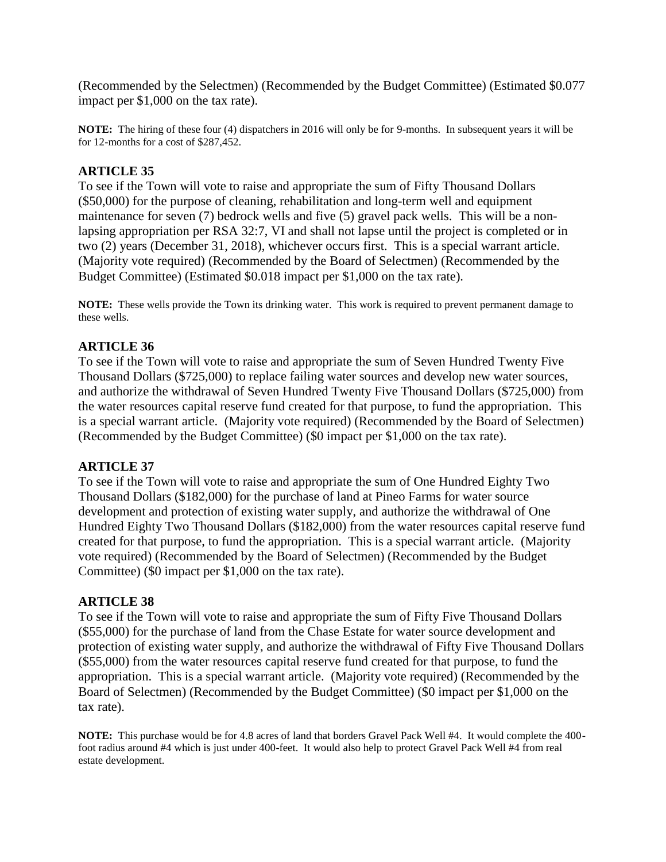(Recommended by the Selectmen) (Recommended by the Budget Committee) (Estimated \$0.077 impact per \$1,000 on the tax rate).

**NOTE:** The hiring of these four (4) dispatchers in 2016 will only be for 9-months. In subsequent years it will be for 12-months for a cost of \$287,452.

# **ARTICLE 35**

To see if the Town will vote to raise and appropriate the sum of Fifty Thousand Dollars (\$50,000) for the purpose of cleaning, rehabilitation and long-term well and equipment maintenance for seven (7) bedrock wells and five (5) gravel pack wells. This will be a nonlapsing appropriation per RSA 32:7, VI and shall not lapse until the project is completed or in two (2) years (December 31, 2018), whichever occurs first. This is a special warrant article. (Majority vote required) (Recommended by the Board of Selectmen) (Recommended by the Budget Committee) (Estimated \$0.018 impact per \$1,000 on the tax rate).

**NOTE:** These wells provide the Town its drinking water. This work is required to prevent permanent damage to these wells.

#### **ARTICLE 36**

To see if the Town will vote to raise and appropriate the sum of Seven Hundred Twenty Five Thousand Dollars (\$725,000) to replace failing water sources and develop new water sources, and authorize the withdrawal of Seven Hundred Twenty Five Thousand Dollars (\$725,000) from the water resources capital reserve fund created for that purpose, to fund the appropriation. This is a special warrant article. (Majority vote required) (Recommended by the Board of Selectmen) (Recommended by the Budget Committee) (\$0 impact per \$1,000 on the tax rate).

#### **ARTICLE 37**

To see if the Town will vote to raise and appropriate the sum of One Hundred Eighty Two Thousand Dollars (\$182,000) for the purchase of land at Pineo Farms for water source development and protection of existing water supply, and authorize the withdrawal of One Hundred Eighty Two Thousand Dollars (\$182,000) from the water resources capital reserve fund created for that purpose, to fund the appropriation. This is a special warrant article. (Majority vote required) (Recommended by the Board of Selectmen) (Recommended by the Budget Committee) (\$0 impact per \$1,000 on the tax rate).

#### **ARTICLE 38**

To see if the Town will vote to raise and appropriate the sum of Fifty Five Thousand Dollars (\$55,000) for the purchase of land from the Chase Estate for water source development and protection of existing water supply, and authorize the withdrawal of Fifty Five Thousand Dollars (\$55,000) from the water resources capital reserve fund created for that purpose, to fund the appropriation. This is a special warrant article. (Majority vote required) (Recommended by the Board of Selectmen) (Recommended by the Budget Committee) (\$0 impact per \$1,000 on the tax rate).

**NOTE:** This purchase would be for 4.8 acres of land that borders Gravel Pack Well #4. It would complete the 400 foot radius around #4 which is just under 400-feet. It would also help to protect Gravel Pack Well #4 from real estate development.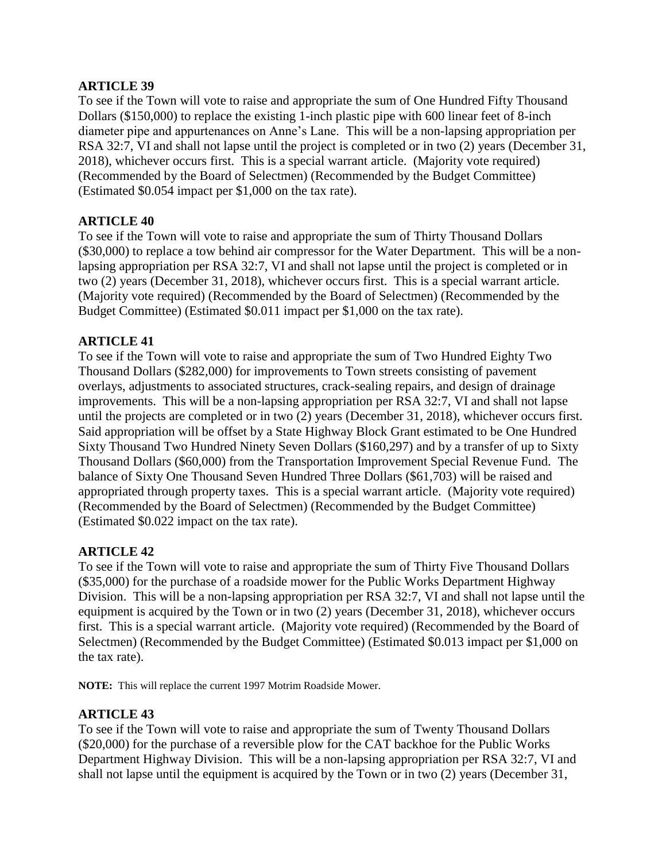To see if the Town will vote to raise and appropriate the sum of One Hundred Fifty Thousand Dollars (\$150,000) to replace the existing 1-inch plastic pipe with 600 linear feet of 8-inch diameter pipe and appurtenances on Anne's Lane. This will be a non-lapsing appropriation per RSA 32:7, VI and shall not lapse until the project is completed or in two (2) years (December 31, 2018), whichever occurs first. This is a special warrant article. (Majority vote required) (Recommended by the Board of Selectmen) (Recommended by the Budget Committee) (Estimated \$0.054 impact per \$1,000 on the tax rate).

## **ARTICLE 40**

To see if the Town will vote to raise and appropriate the sum of Thirty Thousand Dollars (\$30,000) to replace a tow behind air compressor for the Water Department. This will be a nonlapsing appropriation per RSA 32:7, VI and shall not lapse until the project is completed or in two (2) years (December 31, 2018), whichever occurs first. This is a special warrant article. (Majority vote required) (Recommended by the Board of Selectmen) (Recommended by the Budget Committee) (Estimated \$0.011 impact per \$1,000 on the tax rate).

# **ARTICLE 41**

To see if the Town will vote to raise and appropriate the sum of Two Hundred Eighty Two Thousand Dollars (\$282,000) for improvements to Town streets consisting of pavement overlays, adjustments to associated structures, crack-sealing repairs, and design of drainage improvements. This will be a non-lapsing appropriation per RSA 32:7, VI and shall not lapse until the projects are completed or in two (2) years (December 31, 2018), whichever occurs first. Said appropriation will be offset by a State Highway Block Grant estimated to be One Hundred Sixty Thousand Two Hundred Ninety Seven Dollars (\$160,297) and by a transfer of up to Sixty Thousand Dollars (\$60,000) from the Transportation Improvement Special Revenue Fund. The balance of Sixty One Thousand Seven Hundred Three Dollars (\$61,703) will be raised and appropriated through property taxes. This is a special warrant article. (Majority vote required) (Recommended by the Board of Selectmen) (Recommended by the Budget Committee) (Estimated \$0.022 impact on the tax rate).

#### **ARTICLE 42**

To see if the Town will vote to raise and appropriate the sum of Thirty Five Thousand Dollars (\$35,000) for the purchase of a roadside mower for the Public Works Department Highway Division. This will be a non-lapsing appropriation per RSA 32:7, VI and shall not lapse until the equipment is acquired by the Town or in two (2) years (December 31, 2018), whichever occurs first. This is a special warrant article. (Majority vote required) (Recommended by the Board of Selectmen) (Recommended by the Budget Committee) (Estimated \$0.013 impact per \$1,000 on the tax rate).

**NOTE:** This will replace the current 1997 Motrim Roadside Mower.

# **ARTICLE 43**

To see if the Town will vote to raise and appropriate the sum of Twenty Thousand Dollars (\$20,000) for the purchase of a reversible plow for the CAT backhoe for the Public Works Department Highway Division. This will be a non-lapsing appropriation per RSA 32:7, VI and shall not lapse until the equipment is acquired by the Town or in two (2) years (December 31,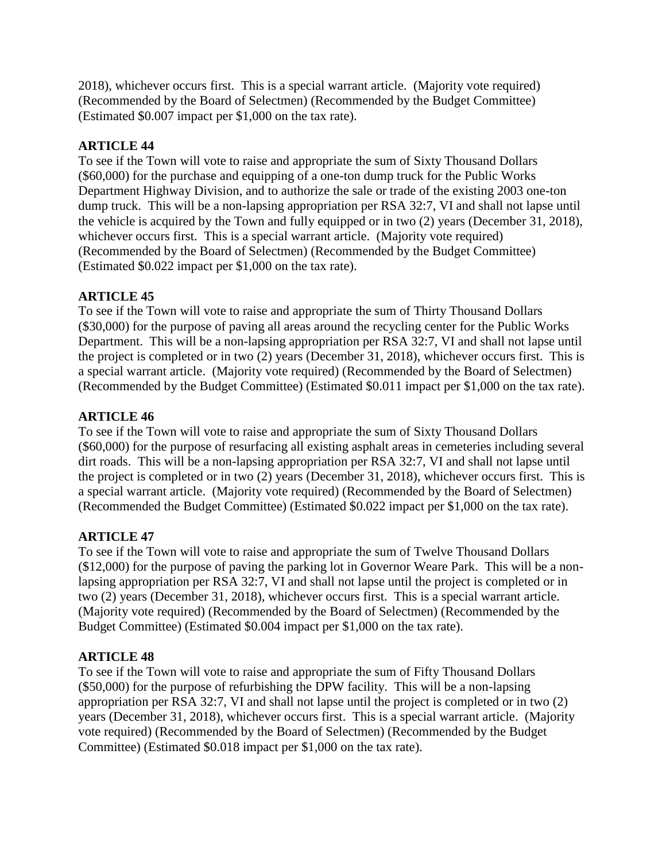2018), whichever occurs first. This is a special warrant article. (Majority vote required) (Recommended by the Board of Selectmen) (Recommended by the Budget Committee) (Estimated \$0.007 impact per \$1,000 on the tax rate).

# **ARTICLE 44**

To see if the Town will vote to raise and appropriate the sum of Sixty Thousand Dollars (\$60,000) for the purchase and equipping of a one-ton dump truck for the Public Works Department Highway Division, and to authorize the sale or trade of the existing 2003 one-ton dump truck. This will be a non-lapsing appropriation per RSA 32:7, VI and shall not lapse until the vehicle is acquired by the Town and fully equipped or in two (2) years (December 31, 2018), whichever occurs first. This is a special warrant article. (Majority vote required) (Recommended by the Board of Selectmen) (Recommended by the Budget Committee) (Estimated \$0.022 impact per \$1,000 on the tax rate).

# **ARTICLE 45**

To see if the Town will vote to raise and appropriate the sum of Thirty Thousand Dollars (\$30,000) for the purpose of paving all areas around the recycling center for the Public Works Department. This will be a non-lapsing appropriation per RSA 32:7, VI and shall not lapse until the project is completed or in two (2) years (December 31, 2018), whichever occurs first. This is a special warrant article. (Majority vote required) (Recommended by the Board of Selectmen) (Recommended by the Budget Committee) (Estimated \$0.011 impact per \$1,000 on the tax rate).

# **ARTICLE 46**

To see if the Town will vote to raise and appropriate the sum of Sixty Thousand Dollars (\$60,000) for the purpose of resurfacing all existing asphalt areas in cemeteries including several dirt roads. This will be a non-lapsing appropriation per RSA 32:7, VI and shall not lapse until the project is completed or in two (2) years (December 31, 2018), whichever occurs first. This is a special warrant article. (Majority vote required) (Recommended by the Board of Selectmen) (Recommended the Budget Committee) (Estimated \$0.022 impact per \$1,000 on the tax rate).

# **ARTICLE 47**

To see if the Town will vote to raise and appropriate the sum of Twelve Thousand Dollars (\$12,000) for the purpose of paving the parking lot in Governor Weare Park. This will be a nonlapsing appropriation per RSA 32:7, VI and shall not lapse until the project is completed or in two (2) years (December 31, 2018), whichever occurs first. This is a special warrant article. (Majority vote required) (Recommended by the Board of Selectmen) (Recommended by the Budget Committee) (Estimated \$0.004 impact per \$1,000 on the tax rate).

# **ARTICLE 48**

To see if the Town will vote to raise and appropriate the sum of Fifty Thousand Dollars (\$50,000) for the purpose of refurbishing the DPW facility. This will be a non-lapsing appropriation per RSA 32:7, VI and shall not lapse until the project is completed or in two (2) years (December 31, 2018), whichever occurs first. This is a special warrant article. (Majority vote required) (Recommended by the Board of Selectmen) (Recommended by the Budget Committee) (Estimated \$0.018 impact per \$1,000 on the tax rate).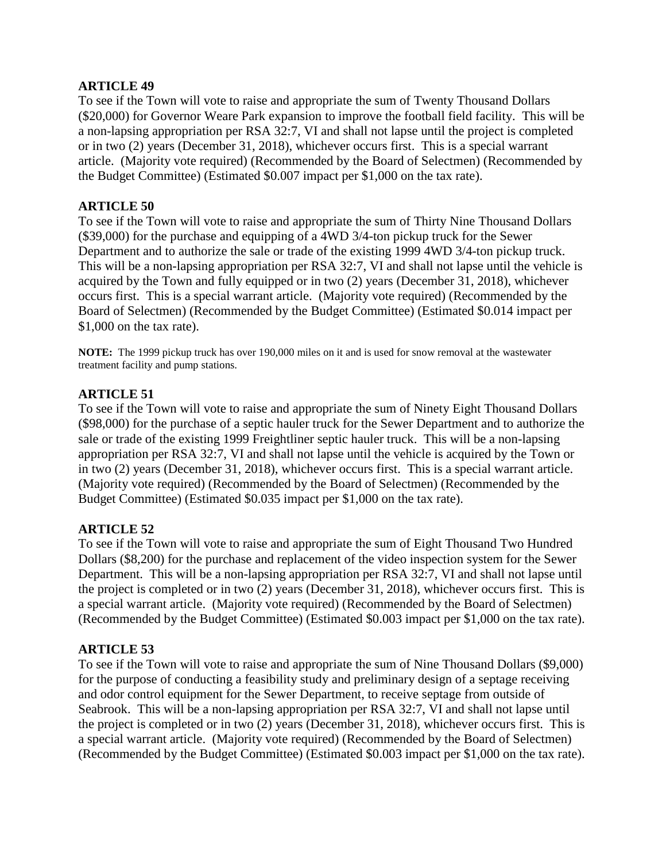To see if the Town will vote to raise and appropriate the sum of Twenty Thousand Dollars (\$20,000) for Governor Weare Park expansion to improve the football field facility. This will be a non-lapsing appropriation per RSA 32:7, VI and shall not lapse until the project is completed or in two (2) years (December 31, 2018), whichever occurs first. This is a special warrant article. (Majority vote required) (Recommended by the Board of Selectmen) (Recommended by the Budget Committee) (Estimated \$0.007 impact per \$1,000 on the tax rate).

## **ARTICLE 50**

To see if the Town will vote to raise and appropriate the sum of Thirty Nine Thousand Dollars (\$39,000) for the purchase and equipping of a 4WD 3/4-ton pickup truck for the Sewer Department and to authorize the sale or trade of the existing 1999 4WD 3/4-ton pickup truck. This will be a non-lapsing appropriation per RSA 32:7, VI and shall not lapse until the vehicle is acquired by the Town and fully equipped or in two (2) years (December 31, 2018), whichever occurs first. This is a special warrant article. (Majority vote required) (Recommended by the Board of Selectmen) (Recommended by the Budget Committee) (Estimated \$0.014 impact per \$1,000 on the tax rate).

**NOTE:** The 1999 pickup truck has over 190,000 miles on it and is used for snow removal at the wastewater treatment facility and pump stations.

# **ARTICLE 51**

To see if the Town will vote to raise and appropriate the sum of Ninety Eight Thousand Dollars (\$98,000) for the purchase of a septic hauler truck for the Sewer Department and to authorize the sale or trade of the existing 1999 Freightliner septic hauler truck. This will be a non-lapsing appropriation per RSA 32:7, VI and shall not lapse until the vehicle is acquired by the Town or in two (2) years (December 31, 2018), whichever occurs first. This is a special warrant article. (Majority vote required) (Recommended by the Board of Selectmen) (Recommended by the Budget Committee) (Estimated \$0.035 impact per \$1,000 on the tax rate).

# **ARTICLE 52**

To see if the Town will vote to raise and appropriate the sum of Eight Thousand Two Hundred Dollars (\$8,200) for the purchase and replacement of the video inspection system for the Sewer Department. This will be a non-lapsing appropriation per RSA 32:7, VI and shall not lapse until the project is completed or in two (2) years (December 31, 2018), whichever occurs first. This is a special warrant article. (Majority vote required) (Recommended by the Board of Selectmen) (Recommended by the Budget Committee) (Estimated \$0.003 impact per \$1,000 on the tax rate).

#### **ARTICLE 53**

To see if the Town will vote to raise and appropriate the sum of Nine Thousand Dollars (\$9,000) for the purpose of conducting a feasibility study and preliminary design of a septage receiving and odor control equipment for the Sewer Department, to receive septage from outside of Seabrook. This will be a non-lapsing appropriation per RSA 32:7, VI and shall not lapse until the project is completed or in two (2) years (December 31, 2018), whichever occurs first. This is a special warrant article. (Majority vote required) (Recommended by the Board of Selectmen) (Recommended by the Budget Committee) (Estimated \$0.003 impact per \$1,000 on the tax rate).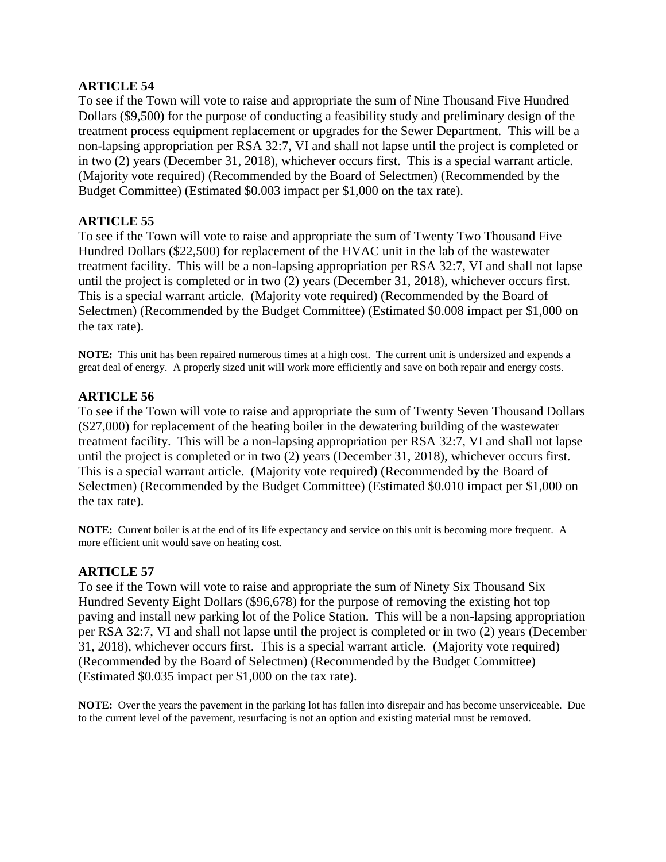To see if the Town will vote to raise and appropriate the sum of Nine Thousand Five Hundred Dollars (\$9,500) for the purpose of conducting a feasibility study and preliminary design of the treatment process equipment replacement or upgrades for the Sewer Department. This will be a non-lapsing appropriation per RSA 32:7, VI and shall not lapse until the project is completed or in two (2) years (December 31, 2018), whichever occurs first. This is a special warrant article. (Majority vote required) (Recommended by the Board of Selectmen) (Recommended by the Budget Committee) (Estimated \$0.003 impact per \$1,000 on the tax rate).

# **ARTICLE 55**

To see if the Town will vote to raise and appropriate the sum of Twenty Two Thousand Five Hundred Dollars (\$22,500) for replacement of the HVAC unit in the lab of the wastewater treatment facility. This will be a non-lapsing appropriation per RSA 32:7, VI and shall not lapse until the project is completed or in two (2) years (December 31, 2018), whichever occurs first. This is a special warrant article. (Majority vote required) (Recommended by the Board of Selectmen) (Recommended by the Budget Committee) (Estimated \$0.008 impact per \$1,000 on the tax rate).

**NOTE:** This unit has been repaired numerous times at a high cost. The current unit is undersized and expends a great deal of energy. A properly sized unit will work more efficiently and save on both repair and energy costs.

## **ARTICLE 56**

To see if the Town will vote to raise and appropriate the sum of Twenty Seven Thousand Dollars (\$27,000) for replacement of the heating boiler in the dewatering building of the wastewater treatment facility. This will be a non-lapsing appropriation per RSA 32:7, VI and shall not lapse until the project is completed or in two (2) years (December 31, 2018), whichever occurs first. This is a special warrant article. (Majority vote required) (Recommended by the Board of Selectmen) (Recommended by the Budget Committee) (Estimated \$0.010 impact per \$1,000 on the tax rate).

**NOTE:** Current boiler is at the end of its life expectancy and service on this unit is becoming more frequent. A more efficient unit would save on heating cost.

#### **ARTICLE 57**

To see if the Town will vote to raise and appropriate the sum of Ninety Six Thousand Six Hundred Seventy Eight Dollars (\$96,678) for the purpose of removing the existing hot top paving and install new parking lot of the Police Station. This will be a non-lapsing appropriation per RSA 32:7, VI and shall not lapse until the project is completed or in two (2) years (December 31, 2018), whichever occurs first. This is a special warrant article. (Majority vote required) (Recommended by the Board of Selectmen) (Recommended by the Budget Committee) (Estimated \$0.035 impact per \$1,000 on the tax rate).

**NOTE:** Over the years the pavement in the parking lot has fallen into disrepair and has become unserviceable. Due to the current level of the pavement, resurfacing is not an option and existing material must be removed.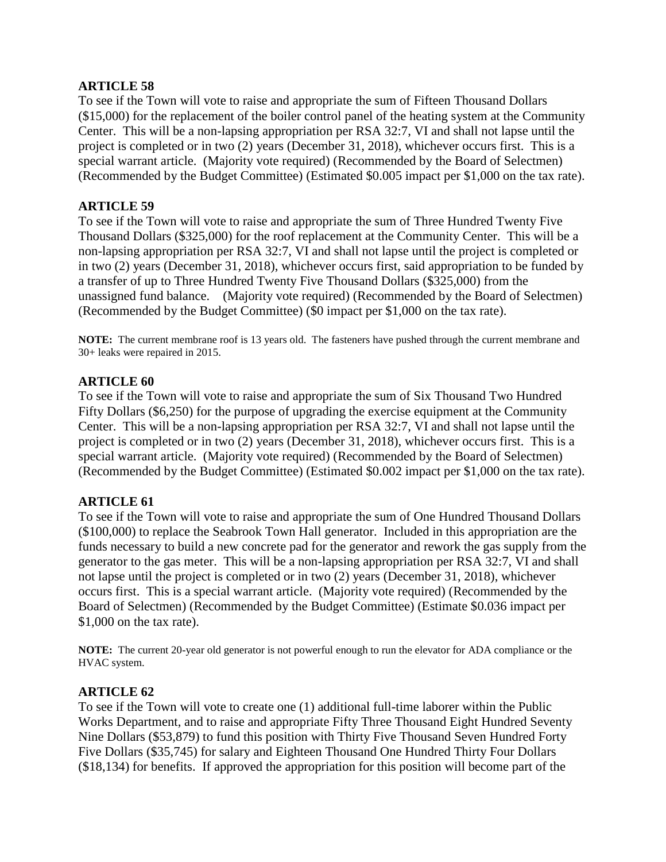To see if the Town will vote to raise and appropriate the sum of Fifteen Thousand Dollars (\$15,000) for the replacement of the boiler control panel of the heating system at the Community Center. This will be a non-lapsing appropriation per RSA 32:7, VI and shall not lapse until the project is completed or in two (2) years (December 31, 2018), whichever occurs first. This is a special warrant article. (Majority vote required) (Recommended by the Board of Selectmen) (Recommended by the Budget Committee) (Estimated \$0.005 impact per \$1,000 on the tax rate).

## **ARTICLE 59**

To see if the Town will vote to raise and appropriate the sum of Three Hundred Twenty Five Thousand Dollars (\$325,000) for the roof replacement at the Community Center. This will be a non-lapsing appropriation per RSA 32:7, VI and shall not lapse until the project is completed or in two (2) years (December 31, 2018), whichever occurs first, said appropriation to be funded by a transfer of up to Three Hundred Twenty Five Thousand Dollars (\$325,000) from the unassigned fund balance. (Majority vote required) (Recommended by the Board of Selectmen) (Recommended by the Budget Committee) (\$0 impact per \$1,000 on the tax rate).

**NOTE:** The current membrane roof is 13 years old. The fasteners have pushed through the current membrane and 30+ leaks were repaired in 2015.

#### **ARTICLE 60**

To see if the Town will vote to raise and appropriate the sum of Six Thousand Two Hundred Fifty Dollars (\$6,250) for the purpose of upgrading the exercise equipment at the Community Center. This will be a non-lapsing appropriation per RSA 32:7, VI and shall not lapse until the project is completed or in two (2) years (December 31, 2018), whichever occurs first. This is a special warrant article. (Majority vote required) (Recommended by the Board of Selectmen) (Recommended by the Budget Committee) (Estimated \$0.002 impact per \$1,000 on the tax rate).

# **ARTICLE 61**

To see if the Town will vote to raise and appropriate the sum of One Hundred Thousand Dollars (\$100,000) to replace the Seabrook Town Hall generator. Included in this appropriation are the funds necessary to build a new concrete pad for the generator and rework the gas supply from the generator to the gas meter. This will be a non-lapsing appropriation per RSA 32:7, VI and shall not lapse until the project is completed or in two (2) years (December 31, 2018), whichever occurs first. This is a special warrant article. (Majority vote required) (Recommended by the Board of Selectmen) (Recommended by the Budget Committee) (Estimate \$0.036 impact per \$1,000 on the tax rate).

**NOTE:** The current 20-year old generator is not powerful enough to run the elevator for ADA compliance or the HVAC system.

#### **ARTICLE 62**

To see if the Town will vote to create one (1) additional full-time laborer within the Public Works Department, and to raise and appropriate Fifty Three Thousand Eight Hundred Seventy Nine Dollars (\$53,879) to fund this position with Thirty Five Thousand Seven Hundred Forty Five Dollars (\$35,745) for salary and Eighteen Thousand One Hundred Thirty Four Dollars (\$18,134) for benefits. If approved the appropriation for this position will become part of the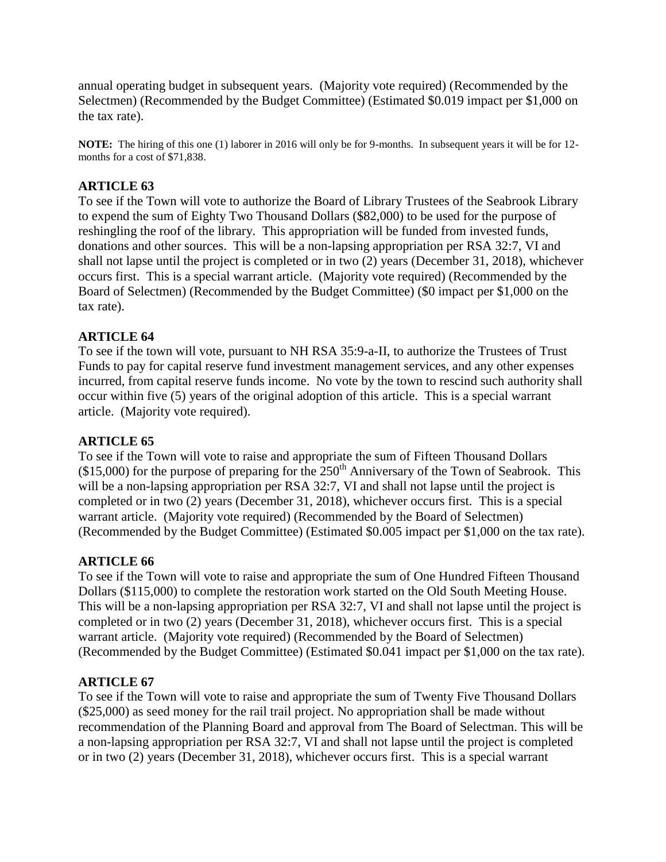annual operating budget in subsequent years. (Majority vote required) (Recommended by the Selectmen) (Recommended by the Budget Committee) (Estimated \$0.019 impact per \$1,000 on the tax rate).

**NOTE:** The hiring of this one (1) laborer in 2016 will only be for 9-months. In subsequent years it will be for 12 months for a cost of \$71,838.

# **ARTICLE 63**

To see if the Town will vote to authorize the Board of Library Trustees of the Seabrook Library to expend the sum of Eighty Two Thousand Dollars (\$82,000) to be used for the purpose of reshingling the roof of the library. This appropriation will be funded from invested funds, donations and other sources. This will be a non-lapsing appropriation per RSA 32:7, VI and shall not lapse until the project is completed or in two (2) years (December 31, 2018), whichever occurs first. This is a special warrant article. (Majority vote required) (Recommended by the Board of Selectmen) (Recommended by the Budget Committee) (\$0 impact per \$1,000 on the tax rate).

# **ARTICLE 64**

To see if the town will vote, pursuant to NH RSA 35:9-a-II, to authorize the Trustees of Trust Funds to pay for capital reserve fund investment management services, and any other expenses incurred, from capital reserve funds income. No vote by the town to rescind such authority shall occur within five (5) years of the original adoption of this article. This is a special warrant article. (Majority vote required).

# **ARTICLE 65**

To see if the Town will vote to raise and appropriate the sum of Fifteen Thousand Dollars  $(15,000)$  for the purpose of preparing for the  $250<sup>th</sup>$  Anniversary of the Town of Seabrook. This will be a non-lapsing appropriation per RSA 32:7, VI and shall not lapse until the project is completed or in two (2) years (December 31, 2018), whichever occurs first. This is a special warrant article. (Majority vote required) (Recommended by the Board of Selectmen) (Recommended by the Budget Committee) (Estimated \$0.005 impact per \$1,000 on the tax rate).

# **ARTICLE 66**

To see if the Town will vote to raise and appropriate the sum of One Hundred Fifteen Thousand Dollars (\$115,000) to complete the restoration work started on the Old South Meeting House. This will be a non-lapsing appropriation per RSA 32:7, VI and shall not lapse until the project is completed or in two (2) years (December 31, 2018), whichever occurs first. This is a special warrant article. (Majority vote required) (Recommended by the Board of Selectmen) (Recommended by the Budget Committee) (Estimated \$0.041 impact per \$1,000 on the tax rate).

# **ARTICLE 67**

To see if the Town will vote to raise and appropriate the sum of Twenty Five Thousand Dollars (\$25,000) as seed money for the rail trail project. No appropriation shall be made without recommendation of the Planning Board and approval from The Board of Selectman. This will be a non-lapsing appropriation per RSA 32:7, VI and shall not lapse until the project is completed or in two (2) years (December 31, 2018), whichever occurs first. This is a special warrant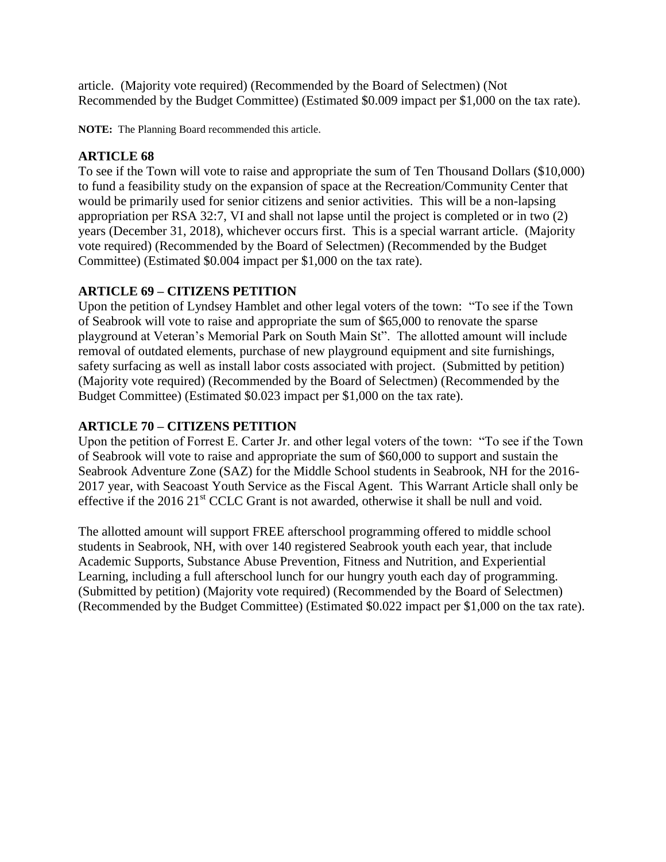article. (Majority vote required) (Recommended by the Board of Selectmen) (Not Recommended by the Budget Committee) (Estimated \$0.009 impact per \$1,000 on the tax rate).

**NOTE:** The Planning Board recommended this article.

# **ARTICLE 68**

To see if the Town will vote to raise and appropriate the sum of Ten Thousand Dollars (\$10,000) to fund a feasibility study on the expansion of space at the Recreation/Community Center that would be primarily used for senior citizens and senior activities. This will be a non-lapsing appropriation per RSA 32:7, VI and shall not lapse until the project is completed or in two (2) years (December 31, 2018), whichever occurs first. This is a special warrant article. (Majority vote required) (Recommended by the Board of Selectmen) (Recommended by the Budget Committee) (Estimated \$0.004 impact per \$1,000 on the tax rate).

# **ARTICLE 69 – CITIZENS PETITION**

Upon the petition of Lyndsey Hamblet and other legal voters of the town: "To see if the Town of Seabrook will vote to raise and appropriate the sum of \$65,000 to renovate the sparse playground at Veteran's Memorial Park on South Main St". The allotted amount will include removal of outdated elements, purchase of new playground equipment and site furnishings, safety surfacing as well as install labor costs associated with project. (Submitted by petition) (Majority vote required) (Recommended by the Board of Selectmen) (Recommended by the Budget Committee) (Estimated \$0.023 impact per \$1,000 on the tax rate).

# **ARTICLE 70 – CITIZENS PETITION**

Upon the petition of Forrest E. Carter Jr. and other legal voters of the town: "To see if the Town of Seabrook will vote to raise and appropriate the sum of \$60,000 to support and sustain the Seabrook Adventure Zone (SAZ) for the Middle School students in Seabrook, NH for the 2016- 2017 year, with Seacoast Youth Service as the Fiscal Agent. This Warrant Article shall only be effective if the 2016  $21<sup>st</sup>$  CCLC Grant is not awarded, otherwise it shall be null and void.

The allotted amount will support FREE afterschool programming offered to middle school students in Seabrook, NH, with over 140 registered Seabrook youth each year, that include Academic Supports, Substance Abuse Prevention, Fitness and Nutrition, and Experiential Learning, including a full afterschool lunch for our hungry youth each day of programming. (Submitted by petition) (Majority vote required) (Recommended by the Board of Selectmen) (Recommended by the Budget Committee) (Estimated \$0.022 impact per \$1,000 on the tax rate).